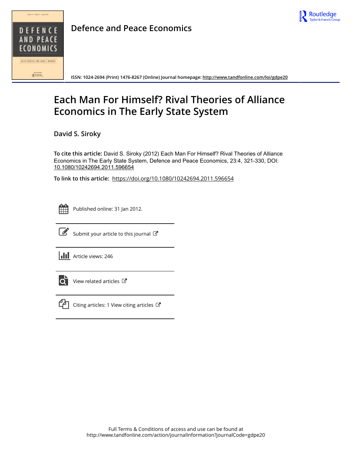

**Defence and Peace Economics**

**ISSN: 1024-2694 (Print) 1476-8267 (Online) Journal homepage:<http://www.tandfonline.com/loi/gdpe20>**

# **Each Man For Himself? Rival Theories of Alliance Economics in The Early State System**

**David S. Siroky**

**To cite this article:** David S. Siroky (2012) Each Man For Himself? Rival Theories of Alliance Economics in The Early State System, Defence and Peace Economics, 23:4, 321-330, DOI: [10.1080/10242694.2011.596654](http://www.tandfonline.com/action/showCitFormats?doi=10.1080/10242694.2011.596654)

**To link to this article:** <https://doi.org/10.1080/10242694.2011.596654>

| - |  |  |  |  |  |  |  |
|---|--|--|--|--|--|--|--|
|   |  |  |  |  |  |  |  |
|   |  |  |  |  |  |  |  |
|   |  |  |  |  |  |  |  |

Published online: 31 Jan 2012.



 $\overrightarrow{S}$  [Submit your article to this journal](http://www.tandfonline.com/action/authorSubmission?journalCode=gdpe20&show=instructions)  $\overrightarrow{S}$ 

**III** Article views: 246



 $\overline{Q}$  [View related articles](http://www.tandfonline.com/doi/mlt/10.1080/10242694.2011.596654)  $\overline{C}$ 



 $\mathbb{C}$  [Citing articles: 1 View citing articles](http://www.tandfonline.com/doi/citedby/10.1080/10242694.2011.596654#tabModule)  $\mathbb{C}$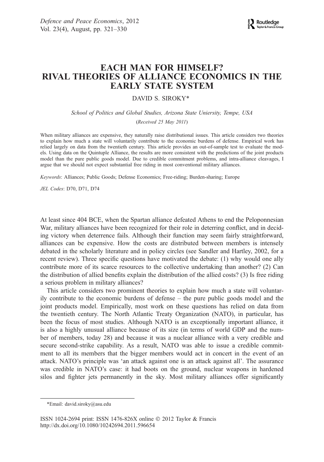## EACH MAN FOR HIMSELF? RIVAL THEORIES OF ALLIANCE ECONOMICS IN THE EARLY STATE SYSTEM

DAVID S. SIROKY\*

School of Politics and Global Studies, Arizona State Uniersity, Tempe, USA

(Received 25 May 2011)

When military alliances are expensive, they naturally raise distributional issues. This article considers two theories to explain how much a state will voluntarily contribute to the economic burdens of defense. Empirical work has relied largely on data from the twentieth century. This article provides an out-of-sample test to evaluate the models. Using data on the Quintuple Alliance, the results are more consistent with the predictions of the joint products model than the pure public goods model. Due to credible commitment problems, and intra-alliance cleavages, I argue that we should not expect substantial free riding in most conventional military alliances.

Keywords: Alliances; Public Goods; Defense Economics; Free-riding; Burden-sharing; Europe

JEL Codes: D70, D71, D74

At least since 404 BCE, when the Spartan alliance defeated Athens to end the Peloponnesian War, military alliances have been recognized for their role in deterring conflict, and in deciding victory when deterrence fails. Although their function may seem fairly straightforward, alliances can be expensive. How the costs are distributed between members is intensely debated in the scholarly literature and in policy circles (see Sandler and Hartley, 2002, for a recent review). Three specific questions have motivated the debate: (1) why would one ally contribute more of its scarce resources to the collective undertaking than another? (2) Can the distribution of allied benefits explain the distribution of the allied costs? (3) Is free riding a serious problem in military alliances?

This article considers two prominent theories to explain how much a state will voluntarily contribute to the economic burdens of defense – the pure public goods model and the joint products model. Empirically, most work on these questions has relied on data from the twentieth century. The North Atlantic Treaty Organization (NATO), in particular, has been the focus of most studies. Although NATO is an exceptionally important alliance, it is also a highly unusual alliance because of its size (in terms of world GDP and the number of members, today 28) and because it was a nuclear alliance with a very credible and secure second-strike capability. As a result, NATO was able to issue a credible commitment to all its members that the bigger members would act in concert in the event of an attack. NATO's principle was 'an attack against one is an attack against all'. The assurance was credible in NATO's case: it had boots on the ground, nuclear weapons in hardened silos and fighter jets permanently in the sky. Most military alliances offer significantly

<sup>\*</sup>Email: david.siroky@asu.edu

ISSN 1024-2694 print: ISSN 1476-826X online 2012 Taylor & Francis http://dx.doi.org/10.1080/10242694.2011.596654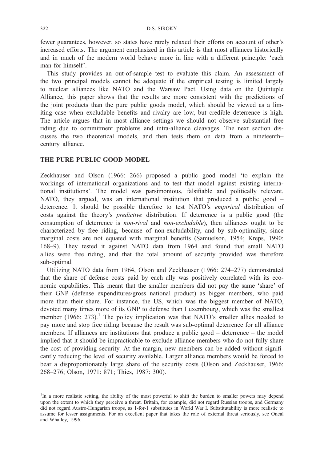fewer guarantees, however, so states have rarely relaxed their efforts on account of other's increased efforts. The argument emphasized in this article is that most alliances historically and in much of the modern world behave more in line with a different principle: 'each man for himself'.

This study provides an out-of-sample test to evaluate this claim. An assessment of the two principal models cannot be adequate if the empirical testing is limited largely to nuclear alliances like NATO and the Warsaw Pact. Using data on the Quintuple Alliance, this paper shows that the results are more consistent with the predictions of the joint products than the pure public goods model, which should be viewed as a limiting case when excludable benefits and rivalry are low, but credible deterrence is high. The article argues that in most alliance settings we should not observe substantial free riding due to commitment problems and intra-alliance cleavages. The next section discusses the two theoretical models, and then tests them on data from a nineteenth– century alliance.

### THE PURE PUBLIC GOOD MODEL

Zeckhauser and Olson (1966: 266) proposed a public good model 'to explain the workings of international organizations and to test that model against existing international institutions'. The model was parsimonious, falsifiable and politically relevant. NATO, they argued, was an international institution that produced a public good – deterrence. It should be possible therefore to test NATO's empirical distribution of costs against the theory's predictive distribution. If deterrence is a public good (the consumption of deterrence is *non-rival* and *non-excludable*), then alliances ought to be characterized by free riding, because of non-excludability, and by sub-optimality, since marginal costs are not equated with marginal benefits (Samuelson, 1954; Kreps, 1990: 168–9). They tested it against NATO data from 1964 and found that small NATO allies were free riding, and that the total amount of security provided was therefore sub-optimal.

Utilizing NATO data from 1964, Olson and Zeckhauser (1966: 274–277) demonstrated that the share of defense costs paid by each ally was positively correlated with its economic capabilities. This meant that the smaller members did not pay the same 'share' of their GNP (defense expenditures/gross national product) as bigger members, who paid more than their share. For instance, the US, which was the biggest member of NATO, devoted many times more of its GNP to defense than Luxembourg, which was the smallest member  $(1966: 273)$ .<sup>1</sup> The policy implication was that NATO's smaller allies needed to pay more and stop free riding because the result was sub-optimal deterrence for all alliance members. If alliances are institutions that produce a public good – deterrence – the model implied that it should be impracticable to exclude alliance members who do not fully share the cost of providing security. At the margin, new members can be added without significantly reducing the level of security available. Larger alliance members would be forced to bear a disproportionately large share of the security costs (Olson and Zeckhauser, 1966: 268–276; Olson, 1971: 871; Thies, 1987: 300).

<sup>&</sup>lt;sup>1</sup>In a more realistic setting, the ability of the most powerful to shift the burden to smaller powers may depend upon the extent to which they perceive a threat. Britain, for example, did not regard Russian troops, and Germany did not regard Austro-Hungarian troops, as 1-for-1 substitutes in World War I. Substitutability is more realistic to assume for lesser assignments. For an excellent paper that takes the role of external threat seriously, see Oneal and Whatley, 1996.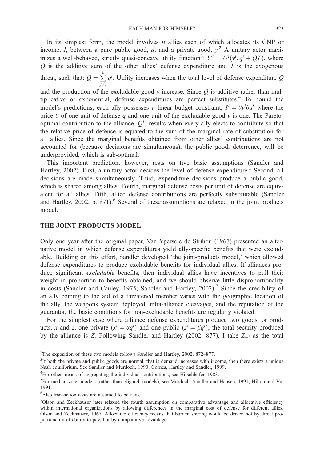In its simplest form, the model involves  $n$  allies each of which allocates its GNP or income, I, between a pure public good, q, and a private good,  $y^2$ . A unitary actor maximizes a well-behaved, strictly quasi-concave utility function<sup>3</sup>:  $U^i = U^i(y^i, q^i + QT)$ , where  $Q$  is the additive sum of the other allies' defense expenditure and T is the expressions  $Q$  is the additive sum of the other allies' defense expenditure and  $T$  is the exogenous threat, such that:  $Q = \sum_{i \neq i}^{n} q^{i}$ . Utility increases when the total level of defense expenditure Q  $j \neq i$ <br>and the production of the excludable good y increase. Since Q is additive rather than multiplicative or exponential, defense expenditures are perfect substitutes.<sup>4</sup> To bound the model's predictions, each ally possesses a linear budget constraint,  $I^i = \theta y^i \theta q^i$  where the price  $\theta$  of one unit of defense q and one unit of the excludable good v is one. The Paretoprice  $\theta$  of one unit of defense q and one unit of the excludable good y is one. The Paretooptimal contribution to the alliance,  $Q^*$ , results when every ally elects to contribute so that the relative price of defense is equated to the sum of the marginal rate of substitution for all allies. Since the marginal benefits obtained from other allies' contributions are not accounted for (because decisions are simultaneous), the public good, deterrence, will be underprovided, which is sub-optimal.

This important prediction, however, rests on five basic assumptions (Sandler and Hartley, 2002). First, a unitary actor decides the level of defense expenditure.<sup>5</sup> Second, all decisions are made simultaneously. Third, expenditure decisions produce a public good, which is shared among allies. Fourth, marginal defense costs per unit of defense are equivalent for all allies. Fifth, allied defense contributions are perfectly substitutable (Sandler and Hartley,  $2002$ , p.  $871$ <sup>6</sup>. Several of these assumptions are relaxed in the joint products model.

#### THE JOINT PRODUCTS MODEL

Only one year after the original paper, Van Ypersele de Strihou (1967) presented an alternative model in which defense expenditures yield ally-specific benefits that were excludable. Building on this effort, Sandler developed 'the joint-products model,' which allowed defense expenditures to produce excludable benefits for individual allies. If alliances produce significant excludable benefits, then individual allies have incentives to pull their weight in proportion to benefits obtained, and we should observe little disproportionality in costs (Sandler and Cauley, 1975; Sandler and Hartley, 2002).<sup>7</sup> Since the credibility of an ally coming to the aid of a threatened member varies with the geographic location of the ally, the weapons system deployed, intra-alliance cleavages, and the reputation of the guarantor, the basic conditions for non-excludable benefits are regularly violated.

For the simplest case where alliance defense expenditures produce two goods, or products, x and z, one private  $(x^{i} = \alpha q^{i})$  and one public  $(z^{i} = \beta q^{i})$ , the total security produced<br>by the alliance is Z. Following Sandler and Hartley (2002: 877). I take Z, as the total by the alliance is Z. Following Sandler and Hartley (2002: 877), I take  $Z_{-i}$  as the total

<sup>&</sup>lt;sup>2</sup>The exposition of these two models follows Sandler and Hartley, 2002, 872–877.

<sup>&</sup>lt;sup>3</sup>If both the private and public goods are normal, that is demand increases with income, then there exists a unique Nash equilibrium. See Sandler and Murdoch, 1990; Cornes, Hartley and Sandler, 1999.

<sup>&</sup>lt;sup>4</sup>For other means of aggregating the individual contributions, see Hirschleifer, 1983.

<sup>5</sup> For median voter models (rather than oligarch models), see Murdoch, Sandler and Hansen, 1991; Hilton and Vu, 1991.

<sup>6</sup> Also transaction costs are assumed to be zero.

<sup>7</sup> Olson and Zeckhauser later relaxed the fourth assumption on comparative advantage and allocative efficiency within international organizations by allowing differences in the marginal cost of defense for different allies. Olson and Zeckhauser, 1967. Allocative efficiency means that burden sharing would be driven not by direct proportionality of ability-to-pay, but by comparative advantage.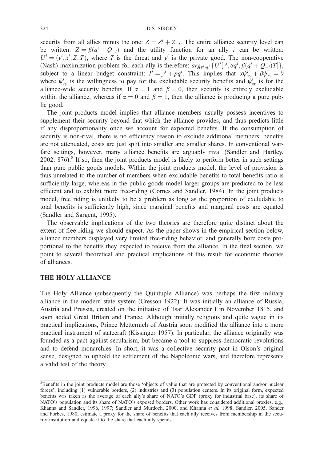security from all allies minus the one:  $Z = Z^{i} + Z_{-i}$ . The entire alliance security level can<br>be written:  $Z = B(a^{i} + Q_{-i})$  and the utility function for an ally *i* can be written: be written:  $Z = \beta(q^i + Q_{-i})$  and the utility function for an ally *i* can be written:<br> $U^i = (y^i, y^i, Z, T)$  where *T* is the threat and  $y^i$  is the private good. The non-cooperative  $U^i = (y^i, x^i, Z, T)$ , where T is the threat and  $y^i$  is the private good. The non-cooperative<br>(Nash) maximization problem for each ally is therefore; arg,  $J U^i[y^i, \gamma g^i, \beta(g^i + Q_i) T]$ (Nash) maximization problem for each ally is therefore:  $arg_{y_i}q_i$   $\{U^i|y^i, \alpha q^i, \beta(q^i + Q_{-i})T\}$ ;<br>subject to a linear budget constraint:  $I^i = y^i + \rho q^i$ . This implies that  $\alpha I^{i} + \beta J^{i} = \beta I^{i}$ subject to a linear budget constraint:  $I^i = y^i + pq^i$ . This implies that  $\alpha \psi_{xy}^f + \beta \psi_{zy}^i = \theta$ <br>where  $\psi_i^i$  is the willingness to pay for the exclude ble security benefits and  $\psi_i^i$  is for the where  $\psi_{xy}^i$  is the willingness to pay for the excludable security benefits and  $\psi_{zy}^i$  is for the alliance-wide security benefits. If  $\alpha = 1$  and  $\beta = 0$ , then security is entirely excludable within the alliance, whereas if  $\alpha = 0$  and  $\beta = 1$ , then the alliance is producing a pure public good.

The joint products model implies that alliance members usually possess incentives to supplement their security beyond that which the alliance provides, and thus predicts little if any disproportionality once we account for expected benefits. If the consumption of security is non-rival, there is no efficiency reason to exclude additional members: benefits are not attenuated, costs are just split into smaller and smaller shares. In conventional warfare settings, however, many alliance benefits are arguably rival (Sandler and Hartley,  $2002$ :  $876$ ).<sup>8</sup> If so, then the joint products model is likely to perform better in such settings than pure public goods models. Within the joint products model, the level of provision is thus unrelated to the number of members when excludable benefits to total benefits ratio is sufficiently large, whereas in the public goods model larger groups are predicted to be less efficient and to exhibit more free-riding (Cornes and Sandler, 1984). In the joint products model, free riding is unlikely to be a problem as long as the proportion of excludable to total benefits is sufficiently high, since marginal benefits and marginal costs are equated (Sandler and Sargent, 1995).

The observable implications of the two theories are therefore quite distinct about the extent of free riding we should expect. As the paper shows in the empirical section below, alliance members displayed very limited free-riding behavior, and generally bore costs proportional to the benefits they expected to receive from the alliance. In the final section, we point to several theoretical and practical implications of this result for economic theories of alliances.

#### THE HOLY ALLIANCE

The Holy Alliance (subsequently the Quintuple Alliance) was perhaps the first military alliance in the modern state system (Cresson 1922). It was initially an alliance of Russia, Austria and Prussia, created on the initiative of Tsar Alexander I in November 1815, and soon added Great Britain and France. Although initially religious and quite vague in its practical implications, Prince Metternich of Austria soon modified the alliance into a more practical instrument of statecraft (Kissinger 1957). In particular, the alliance originally was founded as a pact against secularism, but became a tool to suppress democratic revolutions and to defend monarchies. In short, it was a collective security pact in Olson's original sense, designed to uphold the settlement of the Napoleonic wars, and therefore represents a valid test of the theory.

<sup>&</sup>lt;sup>8</sup>Benefits in the joint products model are those 'objects of value that are protected by conventional and/or nuclear forces', including (1) vulnerable borders, (2) industries and (3) population centers. In its original form, expected benefits was taken as the average of each ally's share of NATO's GDP (proxy for industrial base), its share of NATO's population and its share of NATO's exposed borders. Other work has considered additional proxies, e.g., Khanna and Sandler, 1996, 1997; Sandler and Murdoch, 2000, and Khanna et al. 1998; Sandler, 2005. Sander and Forbes, 1980, estimate a proxy for the share of benefits that each ally receives from membership in the security institution and equate it to the share that each ally spends.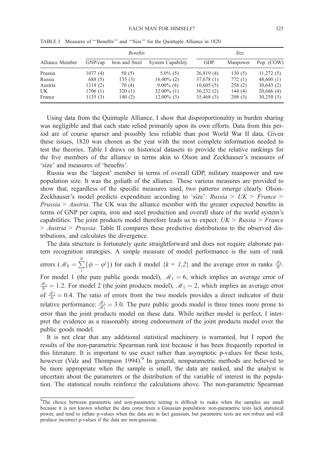|                 | <b>Benefits</b> |                |                   | Size       |           |            |
|-----------------|-----------------|----------------|-------------------|------------|-----------|------------|
| Alliance Member | GNP/cap         | Iron and Steel | System Capability | GDP        | Manpower  | Pop. (COW) |
| Prussia         | 1077(4)         | 50 (5)         | $5.0\%$ (5)       | 26,819(4)  | 130(5)    | 11,272(5)  |
| Russia          | 688 (5)         | 135(3)         | $16.00\%$ (2)     | 37,678(1)  | 772(1)    | 48,600(1)  |
| Austria         | 1218(2)         | 70 (4)         | $9.00\%$ (4)      | 10,605(5)  | 258(2)    | 30,643(2)  |
| UK              | 1706(1)         | 320(1)         | $32.00\%$ (1)     | 36,232(2)  | 144 $(4)$ | 20,686(4)  |
| France          | 1135(3)         | 140 (2)        | $12.00\%$ (3)     | 35,468 (3) | 208(3)    | 30,250(3)  |

TABLE I Measures of "'Benefits'" and '"Size'" for the Quintuple Alliance in 1820

Using data from the Quintuple Alliance, I show that disproportionality in burden sharing was negligible and that each state relied primarily upon its own efforts. Data from this period are of course sparser and possibly less reliable than post World War II data. Given these issues, 1820 was chosen as the year with the most complete information needed to test the theories. Table I draws on historical datasets to provide the relative rankings for the five members of the alliance in terms akin to Olson and Zeckhauser's measures of 'size' and measures of 'benefits'.

Russia was the 'largest' member in terms of overall GDP, military manpower and raw population size. It was the goliath of the alliance. These various measures are provided to show that, regardless of the specific measures used, two patterns emerge clearly. Olson-Zeckhauser's model predicts expenditure according to 'size': Russia  $> UK > France >$ *Prussia > Austria*. The UK was the alliance member with the greater expected benefits in terms of GNP per capita, iron and steel production and overall share of the world system's capabilities. The joint products model therefore leads us to expect:  $UK > Russia > France$  $>$  Austria  $>$  Prussia. Table II compares these predictive distributions to the observed distributions, and calculates the divergence.

The data structure is fortunately quite straightforward and does not require elaborate pattern recognition strategies. A simple measure of model performance is the sum of rank errors ( $\mathcal{M}_k = \sum_{i}^{N}$  $\sum_i {\{\overline{\varphi} - \varphi^i\}}$  for each k model  ${k = 1,2}$  and the average error in ranks  $\frac{dE}{N}$ . For model 1 (the pure public goods model),  $\mathcal{M}_1 = 6$ , which implies an average error of  $\mathcal{M}_1 = 1.2$ . For model 2 (the joint products model),  $\mathcal{M}_1 = 2$ , which implies an average error of  $\frac{M_2}{N} = 0.4$ . The ratio of errors from the two models provides a direct indicator of their relative performance:  $\frac{M_1}{M_2}$  = 3.0. The pure public goods model is three times more prone to error than the joint products model on these data. While neither model is perfect, I interpret the evidence as a reasonably strong endorsement of the joint products model over the public goods model.

It is not clear that any additional statistical machinery is warranted, but I report the results of the non-parametric Spearman rank test because it has been frequently reported in this literature. It is important to use exact rather than asymptotic p-values for these tests, however (Valz and Thompson 1994).<sup>9</sup> In general, nonparametric methods are believed to be more appropriate when the sample is small, the data are ranked, and the analyst is uncertain about the parameters or the distribution of the variable of interest in the population. The statistical results reinforce the calculations above. The non-parametric Spearman

<sup>&</sup>lt;sup>9</sup>The choice between parametric and non-parametric testing is difficult to make when the samples are small because it is not known whether the data come from a Gaussian population: non-parametric tests lack statistical power, and tend to inflate p-values when the data are in fact gaussian, but parametric tests are not robust and will produce incorrect p-values if the data are non-gaussian.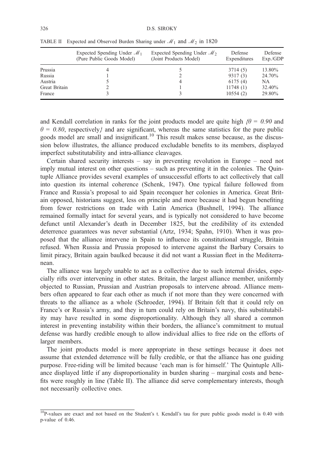|               | Expected Spending Under $\mathcal{M}_1$<br>(Pure Public Goods Model) | Expected Spending Under $\mathcal{M}_2$<br>(Joint Products Model) | Defense<br>Expenditures | Defense<br>Exp.GDP |
|---------------|----------------------------------------------------------------------|-------------------------------------------------------------------|-------------------------|--------------------|
| Prussia       |                                                                      |                                                                   | 3714 (5)                | 13.80%             |
| Russia        |                                                                      |                                                                   | 9317(3)                 | 24.70%             |
| Austria       |                                                                      |                                                                   | 6175(4)                 | NA                 |
| Great Britain |                                                                      |                                                                   | 11748(1)                | 32.40%             |
| France        |                                                                      |                                                                   | 10554(2)                | 29.80%             |

TABLE II Expected and Observed Burden Sharing under  $\mathcal{M}_1$  and  $\mathcal{M}_2$  in 1820

and Kendall correlation in ranks for the joint products model are quite high  $\beta = 0.90$  and  $\theta = 0.80$ , respectively and are significant, whereas the same statistics for the pure public goods model are small and insignificant.<sup>10</sup> This result makes sense because, as the discussion below illustrates, the alliance produced excludable benefits to its members, displayed imperfect substitutability and intra-alliance cleavages.

Certain shared security interests – say in preventing revolution in Europe – need not imply mutual interest on other questions – such as preventing it in the colonies. The Quintuple Alliance provides several examples of unsuccessful efforts to act collectively that call into question its internal coherence (Schenk, 1947). One typical failure followed from France and Russia's proposal to aid Spain reconquer her colonies in America. Great Britain opposed, historians suggest, less on principle and more because it had begun benefiting from fewer restrictions on trade with Latin America (Bushnell, 1994). The alliance remained formally intact for several years, and is typically not considered to have become defunct until Alexander's death in December 1825, but the credibility of its extended deterrence guarantees was never substantial (Artz, 1934; Spahn, 1910). When it was proposed that the alliance intervene in Spain to influence its constitutional struggle, Britain refused. When Russia and Prussia proposed to intervene against the Barbary Corsairs to limit piracy, Britain again baulked because it did not want a Russian fleet in the Mediterranean.

The alliance was largely unable to act as a collective due to such internal divides, especially rifts over intervening in other states. Britain, the largest alliance member, uniformly objected to Russian, Prussian and Austrian proposals to intervene abroad. Alliance members often appeared to fear each other as much if not more than they were concerned with threats to the alliance as a whole (Schroeder, 1994). If Britain felt that it could rely on France's or Russia's army, and they in turn could rely on Britain's navy, this substitutability may have resulted in some disproportionality. Although they all shared a common interest in preventing instability within their borders, the alliance's commitment to mutual defense was hardly credible enough to allow individual allies to free ride on the efforts of larger members.

The joint products model is more appropriate in these settings because it does not assume that extended deterrence will be fully credible, or that the alliance has one guiding purpose. Free-riding will be limited because 'each man is for himself.' The Quintuple Alliance displayed little if any disproportionality in burden sharing – marginal costs and benefits were roughly in line (Table II). The alliance did serve complementary interests, though not necessarily collective ones.

<sup>&</sup>lt;sup>10</sup>P-values are exact and not based on the Student's t. Kendall's tau for pure public goods model is 0.40 with p-value of 0.46.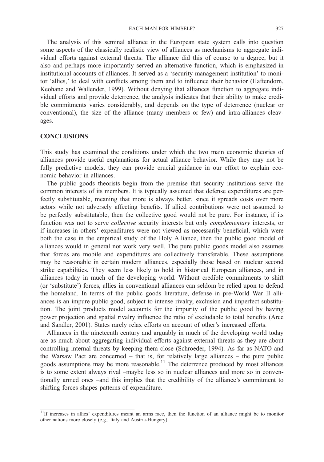EACH MAN FOR HIMSELF? 327

The analysis of this seminal alliance in the European state system calls into question some aspects of the classically realistic view of alliances as mechanisms to aggregate individual efforts against external threats. The alliance did this of course to a degree, but it also and perhaps more importantly served an alternative function, which is emphasized in institutional accounts of alliances. It served as a 'security management institution' to monitor 'allies,' to deal with conflicts among them and to influence their behavior (Haftendorn, Keohane and Wallender, 1999). Without denying that alliances function to aggregate individual efforts and provide deterrence, the analysis indicates that their ability to make credible commitments varies considerably, and depends on the type of deterrence (nuclear or conventional), the size of the alliance (many members or few) and intra-alliances cleavages.

#### **CONCLUSIONS**

This study has examined the conditions under which the two main economic theories of alliances provide useful explanations for actual alliance behavior. While they may not be fully predictive models, they can provide crucial guidance in our effort to explain economic behavior in alliances.

The public goods theorists begin from the premise that security institutions serve the common interests of its members. It is typically assumed that defense expenditures are perfectly substitutable, meaning that more is always better, since it spreads costs over more actors while not adversely affecting benefits. If allied contributions were not assumed to be perfectly substitutable, then the collective good would not be pure. For instance, if its function was not to serve *collective* security interests but only *complementary* interests, or if increases in others' expenditures were not viewed as necessarily beneficial, which were both the case in the empirical study of the Holy Alliance, then the public good model of alliances would in general not work very well. The pure public goods model also assumes that forces are mobile and expenditures are collectively transferable. These assumptions may be reasonable in certain modern alliances, especially those based on nuclear second strike capabilities. They seem less likely to hold in historical European alliances, and in alliances today in much of the developing world. Without credible commitments to shift (or 'substitute') forces, allies in conventional alliances can seldom be relied upon to defend the homeland. In terms of the public goods literature, defense in pre-World War II alliances is an impure public good, subject to intense rivalry, exclusion and imperfect substitution. The joint products model accounts for the impurity of the public good by having power projection and spatial rivalry influence the ratio of excludable to total benefits (Arce and Sandler, 2001). States rarely relax efforts on account of other's increased efforts.

Alliances in the nineteenth century and arguably in much of the developing world today are as much about aggregating individual efforts against external threats as they are about controlling internal threats by keeping them close (Schroeder, 1994). As far as NATO and the Warsaw Pact are concerned – that is, for relatively large alliances – the pure public goods assumptions may be more reasonable.11 The deterrence produced by most alliances is to some extent always rival –maybe less so in nuclear alliances and more so in conventionally armed ones –and this implies that the credibility of the alliance's commitment to shifting forces shapes patterns of expenditure.

<sup>&</sup>lt;sup>11</sup>If increases in allies' expenditures meant an arms race, then the function of an alliance might be to monitor other nations more closely (e.g., Italy and Austria-Hungary).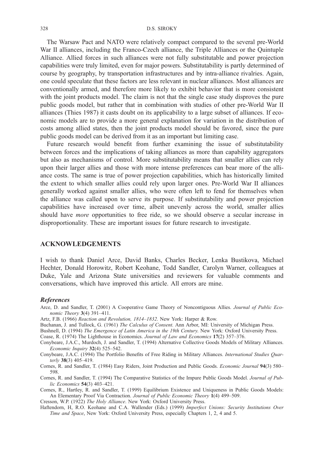The Warsaw Pact and NATO were relatively compact compared to the several pre-World War II alliances, including the Franco-Czech alliance, the Triple Alliances or the Quintuple Alliance. Allied forces in such alliances were not fully substitutable and power projection capabilities were truly limited, even for major powers. Substitutability is partly determined of course by geography, by transportation infrastructures and by intra-alliance rivalries. Again, one could speculate that these factors are less relevant in nuclear alliances. Most alliances are conventionally armed, and therefore more likely to exhibit behavior that is more consistent with the joint products model. The claim is not that the single case study disproves the pure public goods model, but rather that in combination with studies of other pre-World War II alliances (Thies 1987) it casts doubt on its applicability to a large subset of alliances. If economic models are to provide a more general explanation for variation in the distribution of costs among allied states, then the joint products model should be favored, since the pure public goods model can be derived from it as an important but limiting case.

Future research would benefit from further examining the issue of substitutability between forces and the implications of taking alliances as more than capability aggregators but also as mechanisms of control. More substitutability means that smaller allies can rely upon their larger allies and those with more intense preferences can bear more of the alliance costs. The same is true of power projection capabilities, which has historically limited the extent to which smaller allies could rely upon larger ones. Pre-World War II alliances generally worked against smaller allies, who were often left to fend for themselves when the alliance was called upon to serve its purpose. If substitutability and power projection capabilities have increased over time, albeit unevenly across the world, smaller allies should have more opportunities to free ride, so we should observe a secular increase in disproportionality. These are important issues for future research to investigate.

#### ACKNOWLEDGEMENTS

I wish to thank Daniel Arce, David Banks, Charles Becker, Lenka Bustikova, Michael Hechter, Donald Horowitz, Robert Keohane, Todd Sandler, Carolyn Warner, colleagues at Duke, Yale and Arizona State universities and reviewers for valuable comments and conversations, which have improved this article. All errors are mine.

#### References

Arce, D. and Sandler, T. (2001) A Cooperative Game Theory of Noncontiguous Allies. Journal of Public Economic Theory 3(4) 391–411.

Buchanan, J. and Tullock, G. (1961) The Calculus of Consent. Ann Arbor, MI: University of Michigan Press.

Bushnell, D. (1994) The Emergence of Latin America in the 19th Century. New York: Oxford University Press.

Coase, R. (1974) The Lighthouse in Economics. Journal of Law and Economics 17(2) 357–376.

Conybeare, J.A.C., Murdoch, J. and Sandler, T. (1994) Alternative Collective Goods Models of Military Alliances. Economic Inquiry 32(4) 525–542.

Conybeare, J.A.C. (1994) The Portfolio Benefits of Free Riding in Military Alliances. International Studies Quarterly 38(3) 405–419.

Cornes, R. and Sandler, T. (1984) Easy Riders, Joint Production and Public Goods. Economic Journal 94(3) 580– 598.

Cornes, R. and Sandler, T. (1994) The Comparative Statistics of the Impure Public Goods Model. Journal of Public Economics 54(3) 403–421.

Cornes, R., Hartley, R. and Sandler, T. (1999) Equilibrium Existence and Uniqueness in Public Goods Models: An Elementary Proof Via Contraction. Journal of Public Economic Theory 1(4) 499–509.

Cresson, W.P. (1922) The Holy Alliance. New York: Oxford University Press.

Haftendorn, H, R.O. Keohane and C.A. Wallender (Eds.) (1999) Imperfect Unions: Security Institutions Over Time and Space, New York: Oxford University Press, especially Chapters 1, 2, 4 and 5.

Artz, F.B. (1966) Reaction and Revolution, 1814–1832. New York: Harper & Row.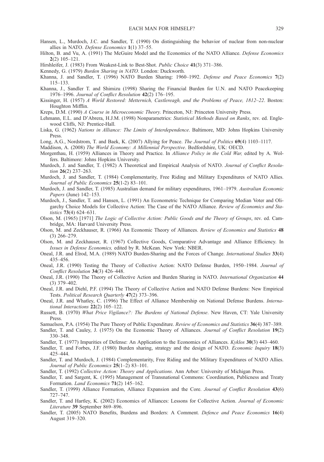- Hansen, L., Murdoch, J.C. and Sandler, T. (1990) On distinguishing the behavior of nuclear from non-nuclear allies in NATO. Defense Economics 1(1) 37–55.
- Hilton, B. and Vu, A. (1991) The McGuire Model and the Economics of the NATO Alliance. *Defense Economics* 2(2) 105–121.
- Hirshleifer, J. (1983) From Weakest-Link to Best-Shot. *Public Choice* 41(3) 371–386.
- Kennedy, G. (1979) Burden Sharing in NATO. London: Duckworth.
- Khanna, J. and Sandler, T. (1996) NATO Burden Sharing: 1960–1992. Defense and Peace Economics 7(2) 115–133.
- Khanna, J., Sandler T. and Shimizu (1998) Sharing the Financial Burden for U.N. and NATO Peacekeeping 1976–1996. Journal of Conflict Resolution 42(2) 176–195.
- Kissinger, H. (1957) A World Restored: Metternich, Castlereagh, and the Problems of Peace, 1812–22. Boston: Houghton Mifflin.
- Kreps, D.M. (1990) A Course in Microeconomic Theory. Princeton, NJ: Princeton University Press.
- Lehmann, E.L. and D'Abrera, H.J.M. (1998) Nonparametrics: Statistical Methods Based on Ranks, rev. ed. Englewood Cliffs, NJ: Prentice-Hall.
- Liska, G. (1962) Nations in Alliance: The Limits of Interdependence. Baltimore, MD: Johns Hopkins University Press.
- Long, A.G., Nordstrom, T. and Baek, K. (2007) Allying for Peace. The Journal of Politics 69(4) 1103–1117.

Maddison, A. (2008) The World Economy: A Millennial Perspective. Bedfordshire, UK: OECD.

- Morgenthau, H. (1959) Alliances in Theory and Practice. In Alliance Policy in the Cold War, edited by A. Wolfers. Baltimore: Johns Hopkins University.
- Murdoch, J. and Sandler, T. (1982) A Theoretical and Empirical Analysis of NATO. Journal of Conflict Resolution 26(2) 237–263.
- Murdoch, J. and Sandler, T. (1984) Complementarity, Free Riding and Military Expenditures of NATO Allies. Journal of Public Economics 25(1-2) 83–101.
- Murdoch, J. and Sandler, T. (1985) Australian demand for military expenditures, 1961–1979. Australian Economic Papers (June) 142–153.
- Murdoch, J., Sandler, T. and Hansen, L. (1991) An Econometric Technique for Comparing Median Voter and Oligarchy Choice Models for Collective Action: The Case of the NATO Alliance. Review of Economics and Statistics 73(4) 624–631.
- Olson, M. (1965) [1971] The Logic of Collective Action: Public Goods and the Theory of Groups, rev. ed. Cambridge, MA: Harvard University Press.
- Olson, M. and Zeckhauser, R. (1966) An Economic Theory of Alliances. Review of Economics and Statistics 48 (3) 266–279.
- Olson, M. and Zeckhauser, R. (1967) Collective Goods, Comparative Advantage and Alliance Efficiency. In Issues in Defense Economics, edited by R. McKean. New York: NBER.
- Oneal, J.R. and Elrod, M.A. (1989) NATO Burden-Sharing and the Forces of Change. International Studies 33(4) 435–456.
- Oneal, J.R. (1990) Testing the Theory of Collective Action: NATO Defense Burden, 1950–1984. Journal of Conflict Resolution 34(3) 426–448.
- Oneal, J.R. (1990) The Theory of Collective Action and Burden Sharing in NATO. International Organization 44 (3) 379–402.
- Oneal, J.R. and Diehl, P.F. (1994) The Theory of Collective Action and NATO Defense Burdens: New Empirical Tests. Political Research Quarterly 47(2) 373–396.
- Oneal, J.R. and Whatley, C. (1996) The Effect of Alliance Membership on National Defense Burdens. International Interactions 22(2) 105–122.
- Russett, B. (1970) What Price Vigilance?: The Burdens of National Defense. New Haven, CT: Yale University Press.
- Samuelson, P.A. (1954) The Pure Theory of Public Expenditure. Review of Economics and Statistics 36(4) 387–389.
- Sandler, T. and Cauley, J. (1975) On the Economic Theory of Alliances. Journal of Conflict Resolution 19(2) 330–348.
- Sandler, T. (1977) Impurities of Defense: An Application to the Economics of Alliances. Kyklos 30(3) 443–460.
- Sandler, T. and Forbes, J.F. (1980) Burden sharing, strategy and the design of NATO. Economic Inquiry 18(3) 425–444.
- Sandler, T. and Murdoch, J. (1984) Complementarity, Free Riding and the Military Expenditures of NATO Allies. Journal of Public Economics 25(1-2) 83-101.
- Sandler, T. (1992) Collective Action: Theory and Applications. Ann Arbor: University of Michigan Press.
- Sandler, T. and Sargent, K. (1995) Management of Transnational Commons: Coordination, Publicness and Treaty Formation. Land Economics 71(2) 145–162.
- Sandler, T. (1999) Alliance Formation, Alliance Expansion and the Core. Journal of Conflict Resolution 43(6) 727–747.
- Sandler, T. and Hartley, K. (2002) Economics of Alliances: Lessons for Collective Action. Journal of Economic Literature 39 September 869–896.
- Sandler, T. (2005) NATO Benefits, Burdens and Borders: A Comment. Defence and Peace Economics 16(4) August 319–320.